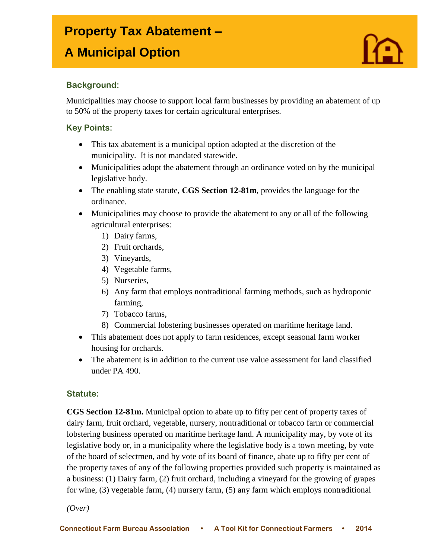## **Property Tax Abatement –**

# **A Municipal Option**



#### **Background:**

I

Municipalities may choose to support local farm businesses by providing an abatement of up to 50% of the property taxes for certain agricultural enterprises.

#### **Key Points:**

- This tax abatement is a municipal option adopted at the discretion of the municipality. It is not mandated statewide.
- Municipalities adopt the abatement through an ordinance voted on by the municipal legislative body.
- The enabling state statute, **CGS Section 12-81m**, provides the language for the ordinance.
- Municipalities may choose to provide the abatement to any or all of the following agricultural enterprises:
	- 1) Dairy farms,
	- 2) Fruit orchards,
	- 3) Vineyards,
	- 4) Vegetable farms,
	- 5) Nurseries,
	- 6) Any farm that employs nontraditional farming methods, such as hydroponic farming,
	- 7) Tobacco farms,
	- 8) Commercial lobstering businesses operated on maritime heritage land.
- This abatement does not apply to farm residences, except seasonal farm worker housing for orchards.
- The abatement is in addition to the current use value assessment for land classified under PA 490.

#### **Statute:**

**CGS Section 12-81m.** Municipal option to abate up to fifty per cent of property taxes of dairy farm, fruit orchard, vegetable, nursery, nontraditional or tobacco farm or commercial lobstering business operated on maritime heritage land. A municipality may, by vote of its legislative body or, in a municipality where the legislative body is a town meeting, by vote of the board of selectmen, and by vote of its board of finance, abate up to fifty per cent of the property taxes of any of the following properties provided such property is maintained as a business: (1) Dairy farm, (2) fruit orchard, including a vineyard for the growing of grapes for wine, (3) vegetable farm, (4) nursery farm, (5) any farm which employs nontraditional

*(Over)*